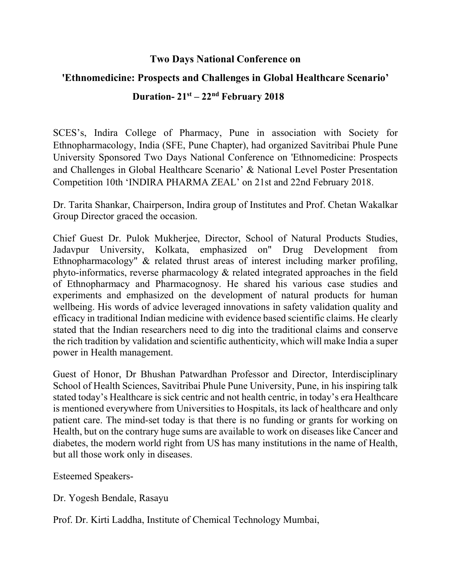## **Two Days National Conference on**

## **'Ethnomedicine: Prospects and Challenges in Global Healthcare Scenario'**

## **Duration- 21st – 22nd February 2018**

SCES's, Indira College of Pharmacy, Pune in association with Society for Ethnopharmacology, India (SFE, Pune Chapter), had organized Savitribai Phule Pune University Sponsored Two Days National Conference on 'Ethnomedicine: Prospects and Challenges in Global Healthcare Scenario' & National Level Poster Presentation Competition 10th 'INDIRA PHARMA ZEAL' on 21st and 22nd February 2018.

Dr. Tarita Shankar, Chairperson, Indira group of Institutes and Prof. Chetan Wakalkar Group Director graced the occasion.

Chief Guest Dr. Pulok Mukherjee, Director, School of Natural Products Studies, Jadavpur University, Kolkata, emphasized on" Drug Development from Ethnopharmacology" & related thrust areas of interest including marker profiling, phyto-informatics, reverse pharmacology & related integrated approaches in the field of Ethnopharmacy and Pharmacognosy. He shared his various case studies and experiments and emphasized on the development of natural products for human wellbeing. His words of advice leveraged innovations in safety validation quality and efficacy in traditional Indian medicine with evidence based scientific claims. He clearly stated that the Indian researchers need to dig into the traditional claims and conserve the rich tradition by validation and scientific authenticity, which will make India a super power in Health management.

Guest of Honor, Dr Bhushan Patwardhan Professor and Director, Interdisciplinary School of Health Sciences, Savitribai Phule Pune University, Pune, in his inspiring talk stated today's Healthcare is sick centric and not health centric, in today's era Healthcare is mentioned everywhere from Universities to Hospitals, its lack of healthcare and only patient care. The mind-set today is that there is no funding or grants for working on Health, but on the contrary huge sums are available to work on diseases like Cancer and diabetes, the modern world right from US has many institutions in the name of Health, but all those work only in diseases.

Esteemed Speakers-

Dr. Yogesh Bendale, Rasayu

Prof. Dr. Kirti Laddha, Institute of Chemical Technology Mumbai,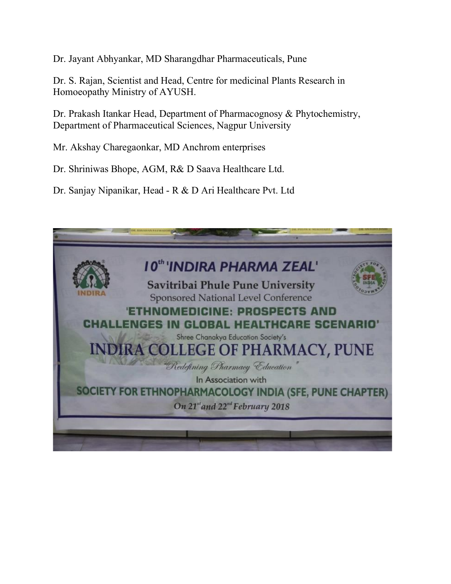Dr. Jayant Abhyankar, MD Sharangdhar Pharmaceuticals, Pune

Dr. S. Rajan, Scientist and Head, Centre for medicinal Plants Research in Homoeopathy Ministry of AYUSH.

Dr. Prakash Itankar Head, Department of Pharmacognosy & Phytochemistry, Department of Pharmaceutical Sciences, Nagpur University

Mr. Akshay Charegaonkar, MD Anchrom enterprises

Dr. Shriniwas Bhope, AGM, R& D Saava Healthcare Ltd.

Dr. Sanjay Nipanikar, Head - R & D Ari Healthcare Pvt. Ltd

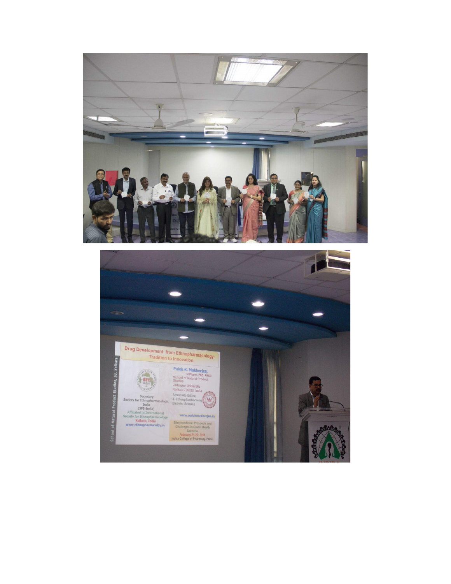